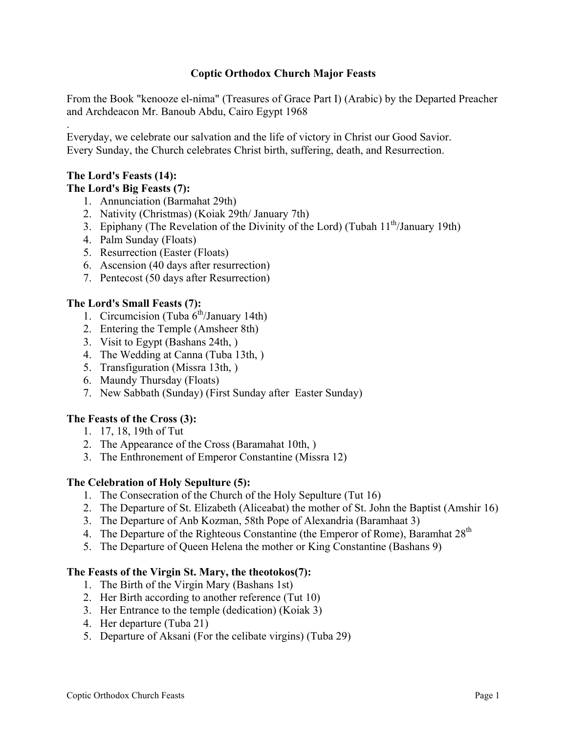## **Coptic Orthodox Church Major Feasts**

From the Book "kenooze el-nima" (Treasures of Grace Part I) (Arabic) by the Departed Preacher and Archdeacon Mr. Banoub Abdu, Cairo Egypt 1968

Everyday, we celebrate our salvation and the life of victory in Christ our Good Savior. Every Sunday, the Church celebrates Christ birth, suffering, death, and Resurrection.

### **The Lord's Feasts (14): The Lord's Big Feasts (7):**

.

- 1. Annunciation (Barmahat 29th)
- 2. Nativity (Christmas) (Koiak 29th/ January 7th)
- 3. Epiphany (The Revelation of the Divinity of the Lord) (Tubah  $11<sup>th</sup>/January 19th$ )
- 4. Palm Sunday (Floats)
- 5. Resurrection (Easter (Floats)
- 6. Ascension (40 days after resurrection)
- 7. Pentecost (50 days after Resurrection)

### **The Lord's Small Feasts (7):**

- 1. Circumcision (Tuba  $6<sup>th</sup>/January$  14th)
- 2. Entering the Temple (Amsheer 8th)
- 3. Visit to Egypt (Bashans 24th, )
- 4. The Wedding at Canna (Tuba 13th, )
- 5. Transfiguration (Missra 13th, )
- 6. Maundy Thursday (Floats)
- 7. New Sabbath (Sunday) (First Sunday after Easter Sunday)

### **The Feasts of the Cross (3):**

- 1. 17, 18, 19th of Tut
- 2. The Appearance of the Cross (Baramahat 10th, )
- 3. The Enthronement of Emperor Constantine (Missra 12)

### **The Celebration of Holy Sepulture (5):**

- 1. The Consecration of the Church of the Holy Sepulture (Tut 16)
- 2. The Departure of St. Elizabeth (Aliceabat) the mother of St. John the Baptist (Amshir 16)
- 3. The Departure of Anb Kozman, 58th Pope of Alexandria (Baramhaat 3)
- 4. The Departure of the Righteous Constantine (the Emperor of Rome), Baramhat  $28<sup>th</sup>$
- 5. The Departure of Queen Helena the mother or King Constantine (Bashans 9)

### **The Feasts of the Virgin St. Mary, the theotokos(7):**

- 1. The Birth of the Virgin Mary (Bashans 1st)
- 2. Her Birth according to another reference (Tut 10)
- 3. Her Entrance to the temple (dedication) (Koiak 3)
- 4. Her departure (Tuba 21)
- 5. Departure of Aksani (For the celibate virgins) (Tuba 29)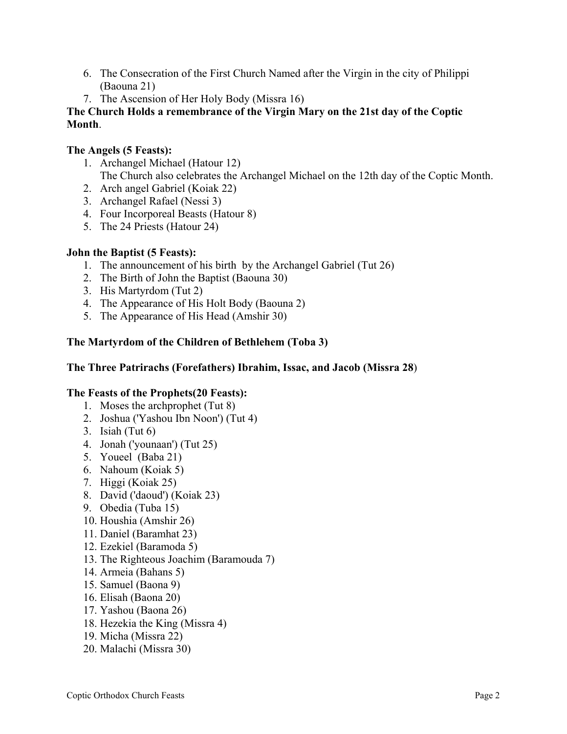- 6. The Consecration of the First Church Named after the Virgin in the city of Philippi (Baouna 21)
- 7. The Ascension of Her Holy Body (Missra 16)

# **The Church Holds a remembrance of the Virgin Mary on the 21st day of the Coptic Month**.

# **The Angels (5 Feasts):**

- 1. Archangel Michael (Hatour 12) The Church also celebrates the Archangel Michael on the 12th day of the Coptic Month.
- 2. Arch angel Gabriel (Koiak 22)
- 3. Archangel Rafael (Nessi 3)
- 4. Four Incorporeal Beasts (Hatour 8)
- 5. The 24 Priests (Hatour 24)

## **John the Baptist (5 Feasts):**

- 1. The announcement of his birth by the Archangel Gabriel (Tut 26)
- 2. The Birth of John the Baptist (Baouna 30)
- 3. His Martyrdom (Tut 2)
- 4. The Appearance of His Holt Body (Baouna 2)
- 5. The Appearance of His Head (Amshir 30)

# **The Martyrdom of the Children of Bethlehem (Toba 3)**

## **The Three Patrirachs (Forefathers) Ibrahim, Issac, and Jacob (Missra 28**)

## **The Feasts of the Prophets(20 Feasts):**

- 1. Moses the archprophet (Tut 8)
- 2. Joshua ('Yashou Ibn Noon') (Tut 4)
- 3. Isiah (Tut 6)
- 4. Jonah ('younaan') (Tut 25)
- 5. Youeel (Baba 21)
- 6. Nahoum (Koiak 5)
- 7. Higgi (Koiak 25)
- 8. David ('daoud') (Koiak 23)
- 9. Obedia (Tuba 15)
- 10. Houshia (Amshir 26)
- 11. Daniel (Baramhat 23)
- 12. Ezekiel (Baramoda 5)
- 13. The Righteous Joachim (Baramouda 7)
- 14. Armeia (Bahans 5)
- 15. Samuel (Baona 9)
- 16. Elisah (Baona 20)
- 17. Yashou (Baona 26)
- 18. Hezekia the King (Missra 4)
- 19. Micha (Missra 22)
- 20. Malachi (Missra 30)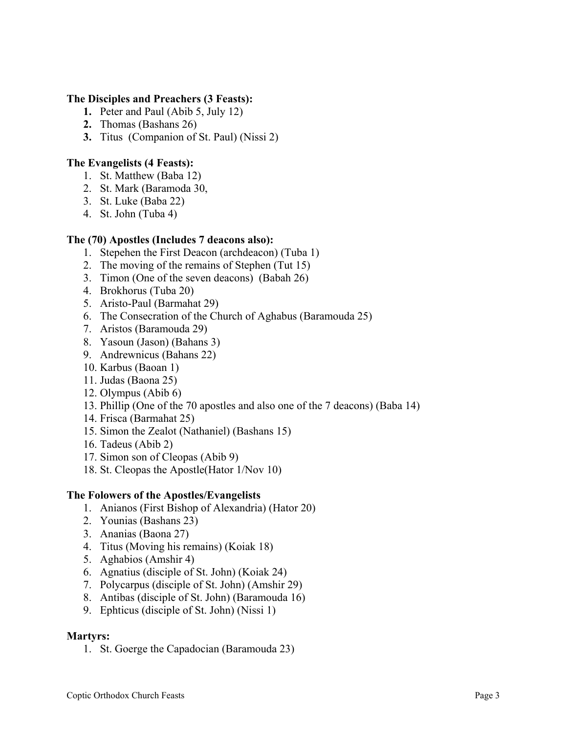### **The Disciples and Preachers (3 Feasts):**

- **1.** Peter and Paul (Abib 5, July 12)
- **2.** Thomas (Bashans 26)
- **3.** Titus (Companion of St. Paul) (Nissi 2)

# **The Evangelists (4 Feasts):**

- 1. St. Matthew (Baba 12)
- 2. St. Mark (Baramoda 30,
- 3. St. Luke (Baba 22)
- 4. St. John (Tuba 4)

# **The (70) Apostles (Includes 7 deacons also):**

- 1. Stepehen the First Deacon (archdeacon) (Tuba 1)
- 2. The moving of the remains of Stephen (Tut 15)
- 3. Timon (One of the seven deacons) (Babah 26)
- 4. Brokhorus (Tuba 20)
- 5. Aristo-Paul (Barmahat 29)
- 6. The Consecration of the Church of Aghabus (Baramouda 25)
- 7. Aristos (Baramouda 29)
- 8. Yasoun (Jason) (Bahans 3)
- 9. Andrewnicus (Bahans 22)
- 10. Karbus (Baoan 1)
- 11. Judas (Baona 25)
- 12. Olympus (Abib 6)
- 13. Phillip (One of the 70 apostles and also one of the 7 deacons) (Baba 14)
- 14. Frisca (Barmahat 25)
- 15. Simon the Zealot (Nathaniel) (Bashans 15)
- 16. Tadeus (Abib 2)
- 17. Simon son of Cleopas (Abib 9)
- 18. St. Cleopas the Apostle(Hator 1/Nov 10)

# **The Folowers of the Apostles/Evangelists**

- 1. Anianos (First Bishop of Alexandria) (Hator 20)
- 2. Younias (Bashans 23)
- 3. Ananias (Baona 27)
- 4. Titus (Moving his remains) (Koiak 18)
- 5. Aghabios (Amshir 4)
- 6. Agnatius (disciple of St. John) (Koiak 24)
- 7. Polycarpus (disciple of St. John) (Amshir 29)
- 8. Antibas (disciple of St. John) (Baramouda 16)
- 9. Ephticus (disciple of St. John) (Nissi 1)

# **Martyrs:**

1. St. Goerge the Capadocian (Baramouda 23)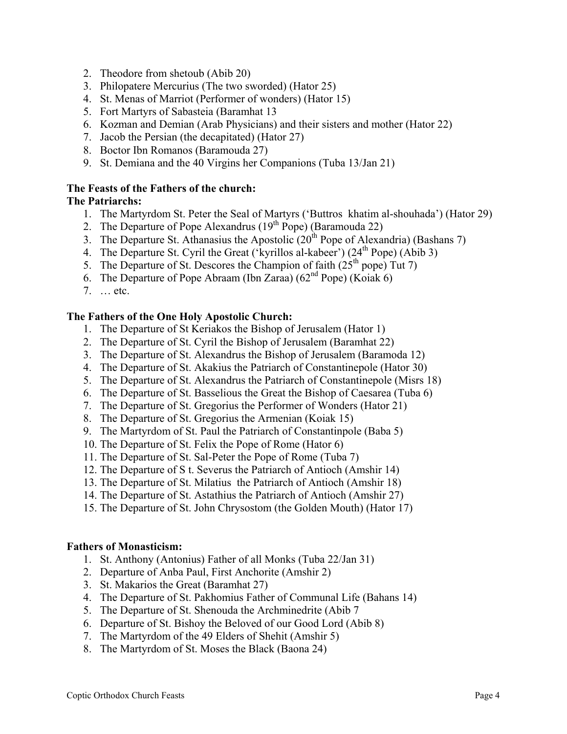- 2. Theodore from shetoub (Abib 20)
- 3. Philopatere Mercurius (The two sworded) (Hator 25)
- 4. St. Menas of Marriot (Performer of wonders) (Hator 15)
- 5. Fort Martyrs of Sabasteia (Baramhat 13
- 6. Kozman and Demian (Arab Physicians) and their sisters and mother (Hator 22)
- 7. Jacob the Persian (the decapitated) (Hator 27)
- 8. Boctor Ibn Romanos (Baramouda 27)
- 9. St. Demiana and the 40 Virgins her Companions (Tuba 13/Jan 21)

### **The Feasts of the Fathers of the church:**

### **The Patriarchs:**

- 1. The Martyrdom St. Peter the Seal of Martyrs ('Buttros khatim al-shouhada') (Hator 29)
- 2. The Departure of Pope Alexandrus ( $19<sup>th</sup>$  Pope) (Baramouda 22)
- 3. The Departure St. Athanasius the Apostolic  $(20<sup>th</sup>$  Pope of Alexandria) (Bashans 7)
- 4. The Departure St. Cyril the Great ('kyrillos al-kabeer')  $(24<sup>th</sup>$  Pope) (Abib 3)
- 5. The Departure of St. Descores the Champion of faith  $(25<sup>th</sup> pope)$  Tut 7)
- 6. The Departure of Pope Abraam (Ibn Zaraa) ( $62<sup>nd</sup>$  Pope) (Koiak 6)
- 7. … etc.

### **The Fathers of the One Holy Apostolic Church:**

- 1. The Departure of St Keriakos the Bishop of Jerusalem (Hator 1)
- 2. The Departure of St. Cyril the Bishop of Jerusalem (Baramhat 22)
- 3. The Departure of St. Alexandrus the Bishop of Jerusalem (Baramoda 12)
- 4. The Departure of St. Akakius the Patriarch of Constantinepole (Hator 30)
- 5. The Departure of St. Alexandrus the Patriarch of Constantinepole (Misrs 18)
- 6. The Departure of St. Basselious the Great the Bishop of Caesarea (Tuba 6)
- 7. The Departure of St. Gregorius the Performer of Wonders (Hator 21)
- 8. The Departure of St. Gregorius the Armenian (Koiak 15)
- 9. The Martyrdom of St. Paul the Patriarch of Constantinpole (Baba 5)
- 10. The Departure of St. Felix the Pope of Rome (Hator 6)
- 11. The Departure of St. Sal-Peter the Pope of Rome (Tuba 7)
- 12. The Departure of S t. Severus the Patriarch of Antioch (Amshir 14)
- 13. The Departure of St. Milatius the Patriarch of Antioch (Amshir 18)
- 14. The Departure of St. Astathius the Patriarch of Antioch (Amshir 27)
- 15. The Departure of St. John Chrysostom (the Golden Mouth) (Hator 17)

### **Fathers of Monasticism:**

- 1. St. Anthony (Antonius) Father of all Monks (Tuba 22/Jan 31)
- 2. Departure of Anba Paul, First Anchorite (Amshir 2)
- 3. St. Makarios the Great (Baramhat 27)
- 4. The Departure of St. Pakhomius Father of Communal Life (Bahans 14)
- 5. The Departure of St. Shenouda the Archminedrite (Abib 7
- 6. Departure of St. Bishoy the Beloved of our Good Lord (Abib 8)
- 7. The Martyrdom of the 49 Elders of Shehit (Amshir 5)
- 8. The Martyrdom of St. Moses the Black (Baona 24)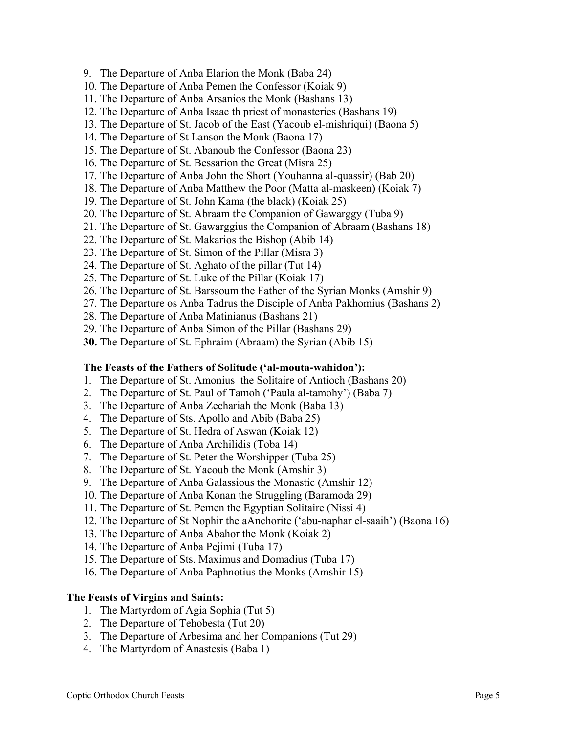- 9. The Departure of Anba Elarion the Monk (Baba 24)
- 10. The Departure of Anba Pemen the Confessor (Koiak 9)
- 11. The Departure of Anba Arsanios the Monk (Bashans 13)
- 12. The Departure of Anba Isaac th priest of monasteries (Bashans 19)
- 13. The Departure of St. Jacob of the East (Yacoub el-mishriqui) (Baona 5)
- 14. The Departure of St Lanson the Monk (Baona 17)
- 15. The Departure of St. Abanoub the Confessor (Baona 23)
- 16. The Departure of St. Bessarion the Great (Misra 25)
- 17. The Departure of Anba John the Short (Youhanna al-quassir) (Bab 20)
- 18. The Departure of Anba Matthew the Poor (Matta al-maskeen) (Koiak 7)
- 19. The Departure of St. John Kama (the black) (Koiak 25)
- 20. The Departure of St. Abraam the Companion of Gawarggy (Tuba 9)
- 21. The Departure of St. Gawarggius the Companion of Abraam (Bashans 18)
- 22. The Departure of St. Makarios the Bishop (Abib 14)
- 23. The Departure of St. Simon of the Pillar (Misra 3)
- 24. The Departure of St. Aghato of the pillar (Tut 14)
- 25. The Departure of St. Luke of the Pillar (Koiak 17)
- 26. The Departure of St. Barssoum the Father of the Syrian Monks (Amshir 9)
- 27. The Departure os Anba Tadrus the Disciple of Anba Pakhomius (Bashans 2)
- 28. The Departure of Anba Matinianus (Bashans 21)
- 29. The Departure of Anba Simon of the Pillar (Bashans 29)
- **30.** The Departure of St. Ephraim (Abraam) the Syrian (Abib 15)

#### **The Feasts of the Fathers of Solitude ('al-mouta-wahidon'):**

- 1. The Departure of St. Amonius the Solitaire of Antioch (Bashans 20)
- 2. The Departure of St. Paul of Tamoh ('Paula al-tamohy') (Baba 7)
- 3. The Departure of Anba Zechariah the Monk (Baba 13)
- 4. The Departure of Sts. Apollo and Abib (Baba 25)
- 5. The Departure of St. Hedra of Aswan (Koiak 12)
- 6. The Departure of Anba Archilidis (Toba 14)
- 7. The Departure of St. Peter the Worshipper (Tuba 25)
- 8. The Departure of St. Yacoub the Monk (Amshir 3)
- 9. The Departure of Anba Galassious the Monastic (Amshir 12)
- 10. The Departure of Anba Konan the Struggling (Baramoda 29)
- 11. The Departure of St. Pemen the Egyptian Solitaire (Nissi 4)
- 12. The Departure of St Nophir the aAnchorite ('abu-naphar el-saaih') (Baona 16)
- 13. The Departure of Anba Abahor the Monk (Koiak 2)
- 14. The Departure of Anba Pejimi (Tuba 17)
- 15. The Departure of Sts. Maximus and Domadius (Tuba 17)
- 16. The Departure of Anba Paphnotius the Monks (Amshir 15)

#### **The Feasts of Virgins and Saints:**

- 1. The Martyrdom of Agia Sophia (Tut 5)
- 2. The Departure of Tehobesta (Tut 20)
- 3. The Departure of Arbesima and her Companions (Tut 29)
- 4. The Martyrdom of Anastesis (Baba 1)